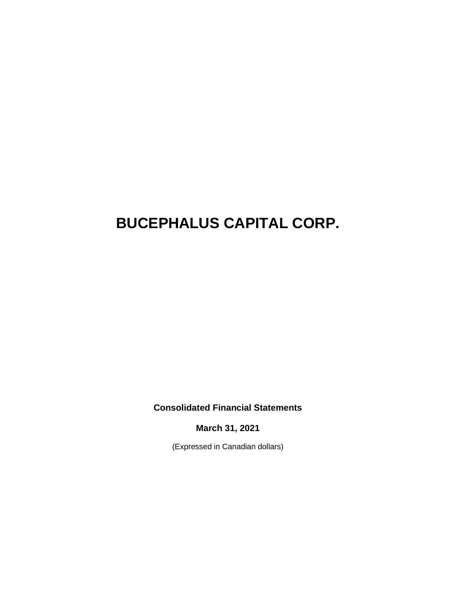# **BUCEPHALUS CAPITAL CORP.**

**Consolidated Financial Statements**

**March 31, 2021**

(Expressed in Canadian dollars)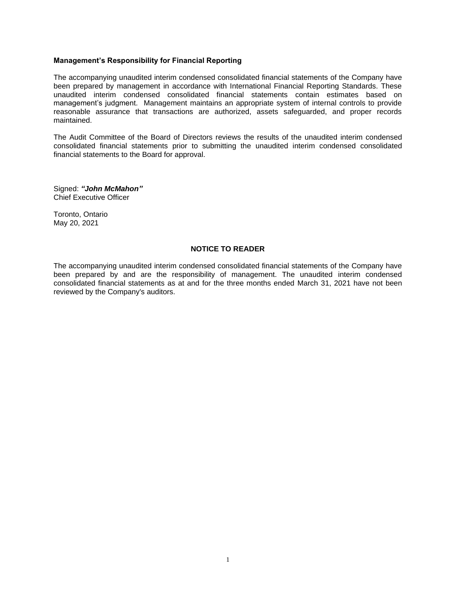# **Management's Responsibility for Financial Reporting**

The accompanying unaudited interim condensed consolidated financial statements of the Company have been prepared by management in accordance with International Financial Reporting Standards. These unaudited interim condensed consolidated financial statements contain estimates based on management's judgment. Management maintains an appropriate system of internal controls to provide reasonable assurance that transactions are authorized, assets safeguarded, and proper records maintained.

The Audit Committee of the Board of Directors reviews the results of the unaudited interim condensed consolidated financial statements prior to submitting the unaudited interim condensed consolidated financial statements to the Board for approval.

Signed: *"John McMahon"*  Chief Executive Officer

Toronto, Ontario May 20, 2021

# **NOTICE TO READER**

The accompanying unaudited interim condensed consolidated financial statements of the Company have been prepared by and are the responsibility of management. The unaudited interim condensed consolidated financial statements as at and for the three months ended March 31, 2021 have not been reviewed by the Company's auditors.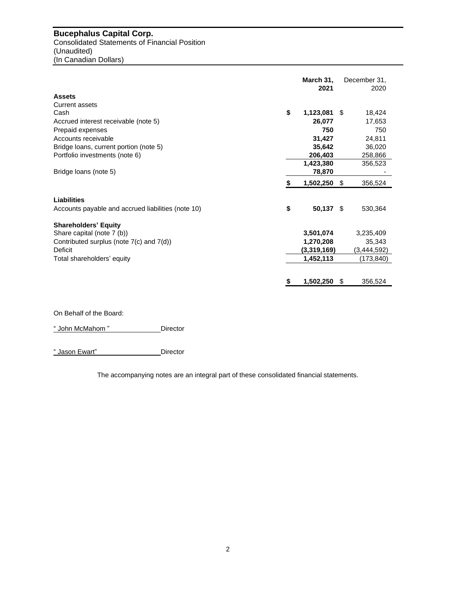# **Bucephalus Capital Corp.** Consolidated Statements of Financial Position (Unaudited) (In Canadian Dollars)

|                                                    | March 31,<br>2021 |      | December 31,<br>2020 |
|----------------------------------------------------|-------------------|------|----------------------|
| <b>Assets</b>                                      |                   |      |                      |
| <b>Current assets</b>                              |                   |      |                      |
| Cash                                               | \$<br>1,123,081   | - \$ | 18,424               |
| Accrued interest receivable (note 5)               | 26,077            |      | 17,653               |
| Prepaid expenses                                   | 750               |      | 750                  |
| Accounts receivable                                | 31,427            |      | 24,811               |
| Bridge loans, current portion (note 5)             | 35,642            |      | 36,020               |
| Portfolio investments (note 6)                     | 206,403           |      | 258,866              |
|                                                    | 1,423,380         |      | 356,523              |
| Bridge loans (note 5)                              | 78,870            |      |                      |
|                                                    | 1,502,250         | \$   | 356,524              |
| Liabilities                                        |                   |      |                      |
| Accounts payable and accrued liabilities (note 10) | \$<br>$50,137$ \$ |      | 530,364              |
| <b>Shareholders' Equity</b>                        |                   |      |                      |
| Share capital (note 7 (b))                         | 3,501,074         |      | 3,235,409            |
| Contributed surplus (note 7(c) and 7(d))           | 1,270,208         |      | 35,343               |
| Deficit                                            | (3,319,169)       |      | (3,444,592)          |
| Total shareholders' equity                         | 1,452,113         |      | (173,840)            |
|                                                    | 1,502,250         | S    | 356,524              |

On Behalf of the Board:

" John McMahom " Director

" Jason Ewart" Director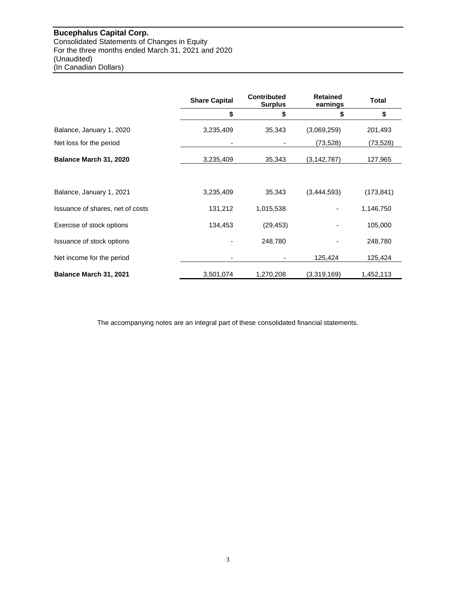# **Bucephalus Capital Corp.** Consolidated Statements of Changes in Equity For the three months ended March 31, 2021 and 2020 (Unaudited) (In Canadian Dollars)

|                                  | <b>Share Capital</b> | <b>Contributed</b><br><b>Surplus</b> | <b>Retained</b><br>earnings | <b>Total</b> |
|----------------------------------|----------------------|--------------------------------------|-----------------------------|--------------|
|                                  | \$                   | \$                                   | \$                          | \$           |
| Balance, January 1, 2020         | 3,235,409            | 35,343                               | (3,069,259)                 | 201,493      |
| Net loss for the period          |                      |                                      | (73,528)                    | (73, 528)    |
| Balance March 31, 2020           | 3,235,409            | 35,343                               | (3, 142, 787)               | 127,965      |
|                                  |                      |                                      |                             |              |
| Balance, January 1, 2021         | 3,235,409            | 35,343                               | (3,444,593)                 | (173, 841)   |
| Issuance of shares, net of costs | 131,212              | 1,015,538                            |                             | 1,146,750    |
| Exercise of stock options        | 134,453              | (29, 453)                            |                             | 105,000      |
| Issuance of stock options        |                      | 248,780                              |                             | 248,780      |
| Net income for the period        |                      |                                      | 125,424                     | 125,424      |
| Balance March 31, 2021           | 3,501,074            | 1,270,208                            | (3,319,169)                 | 1,452,113    |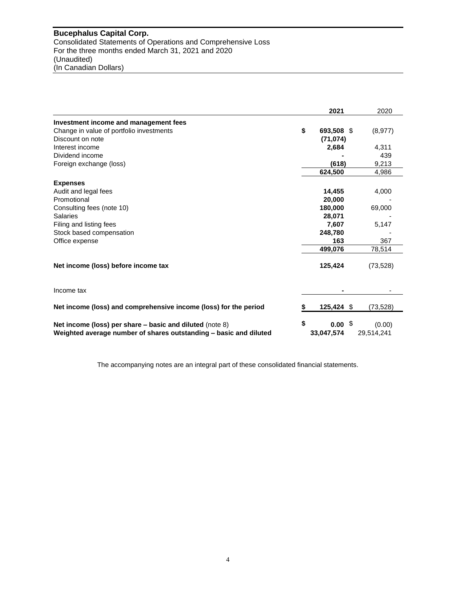# **Bucephalus Capital Corp.** Consolidated Statements of Operations and Comprehensive Loss For the three months ended March 31, 2021 and 2020 (Unaudited) (In Canadian Dollars)

|                                                                   | 2021             | 2020       |
|-------------------------------------------------------------------|------------------|------------|
| Investment income and management fees                             |                  |            |
| Change in value of portfolio investments                          | \$<br>693,508 \$ | (8, 977)   |
| Discount on note                                                  | (71, 074)        |            |
| Interest income                                                   | 2,684            | 4,311      |
| Dividend income                                                   |                  | 439        |
| Foreign exchange (loss)                                           | (618)            | 9,213      |
|                                                                   | 624,500          | 4,986      |
| <b>Expenses</b>                                                   |                  |            |
| Audit and legal fees                                              | 14,455           | 4,000      |
| Promotional                                                       | 20,000           |            |
| Consulting fees (note 10)                                         | 180.000          | 69,000     |
| <b>Salaries</b>                                                   | 28.071           |            |
| Filing and listing fees                                           | 7,607            | 5,147      |
| Stock based compensation                                          | 248,780          |            |
| Office expense                                                    | 163              | 367        |
|                                                                   | 499,076          | 78,514     |
| Net income (loss) before income tax                               | 125,424          | (73, 528)  |
| Income tax                                                        |                  |            |
| Net income (loss) and comprehensive income (loss) for the period  | $125,424$ \$     | (73, 528)  |
| Net income (loss) per share $-$ basic and diluted (note 8)        | \$<br>$0.00$ \$  | (0.00)     |
| Weighted average number of shares outstanding - basic and diluted | 33,047,574       | 29,514,241 |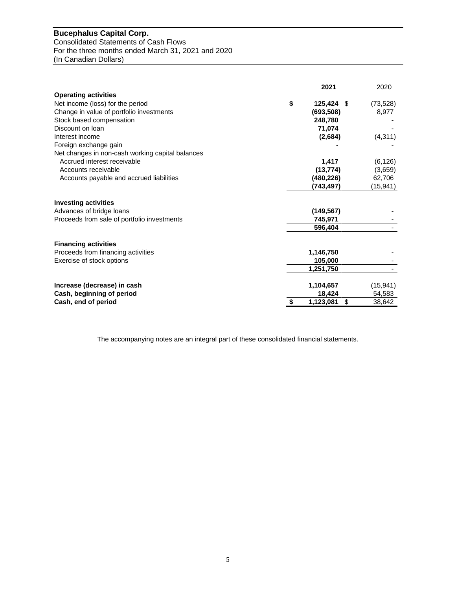# **Bucephalus Capital Corp.** Consolidated Statements of Cash Flows For the three months ended March 31, 2021 and 2020 (In Canadian Dollars)

|                                                  | 2021                  | 2020      |
|--------------------------------------------------|-----------------------|-----------|
| <b>Operating activities</b>                      |                       |           |
| Net income (loss) for the period                 | \$<br>$125,424$ \$    | (73, 528) |
| Change in value of portfolio investments         | (693, 508)            | 8,977     |
| Stock based compensation                         | 248,780               |           |
| Discount on loan                                 | 71,074                |           |
| Interest income                                  | (2,684)               | (4, 311)  |
| Foreign exchange gain                            |                       |           |
| Net changes in non-cash working capital balances |                       |           |
| Accrued interest receivable                      | 1,417                 | (6, 126)  |
| Accounts receivable                              | (13, 774)             | (3,659)   |
| Accounts payable and accrued liabilities         | (480,226)             | 62,706    |
|                                                  | (743,497)             | (15, 941) |
| <b>Investing activities</b>                      |                       |           |
| Advances of bridge loans                         | (149, 567)            |           |
| Proceeds from sale of portfolio investments      | 745,971               |           |
|                                                  | 596.404               |           |
| <b>Financing activities</b>                      |                       |           |
| Proceeds from financing activities               | 1,146,750             |           |
| Exercise of stock options                        | 105,000               |           |
|                                                  | 1,251,750             |           |
| Increase (decrease) in cash                      | 1,104,657             | (15, 941) |
| Cash, beginning of period                        | 18,424                | 54,583    |
| Cash, end of period                              | \$<br>\$<br>1,123,081 | 38,642    |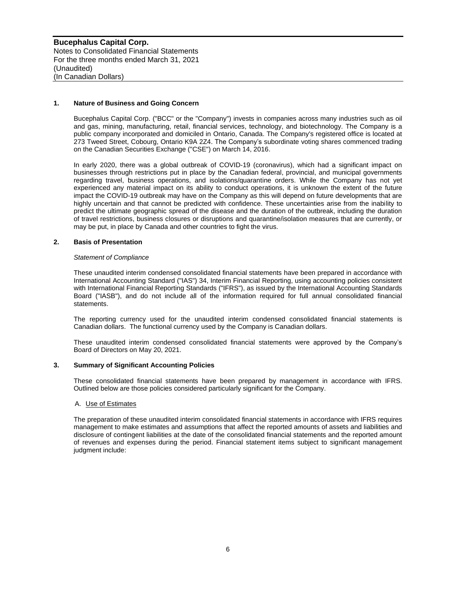# **1. Nature of Business and Going Concern**

Bucephalus Capital Corp. ("BCC" or the "Company") invests in companies across many industries such as oil and gas, mining, manufacturing, retail, financial services, technology, and biotechnology. The Company is a public company incorporated and domiciled in Ontario, Canada. The Company's registered office is located at 273 Tweed Street, Cobourg, Ontario K9A 2Z4. The Company's subordinate voting shares commenced trading on the Canadian Securities Exchange ("CSE") on March 14, 2016.

In early 2020, there was a global outbreak of COVID-19 (coronavirus), which had a significant impact on businesses through restrictions put in place by the Canadian federal, provincial, and municipal governments regarding travel, business operations, and isolations/quarantine orders. While the Company has not yet experienced any material impact on its ability to conduct operations, it is unknown the extent of the future impact the COVID-19 outbreak may have on the Company as this will depend on future developments that are highly uncertain and that cannot be predicted with confidence. These uncertainties arise from the inability to predict the ultimate geographic spread of the disease and the duration of the outbreak, including the duration of travel restrictions, business closures or disruptions and quarantine/isolation measures that are currently, or may be put, in place by Canada and other countries to fight the virus.

# **2. Basis of Presentation**

# *Statement of Compliance*

These unaudited interim condensed consolidated financial statements have been prepared in accordance with International Accounting Standard ("IAS") 34, Interim Financial Reporting, using accounting policies consistent with International Financial Reporting Standards ("IFRS"), as issued by the International Accounting Standards Board ("IASB"), and do not include all of the information required for full annual consolidated financial statements.

The reporting currency used for the unaudited interim condensed consolidated financial statements is Canadian dollars. The functional currency used by the Company is Canadian dollars.

These unaudited interim condensed consolidated financial statements were approved by the Company's Board of Directors on May 20, 2021.

# **3. Summary of Significant Accounting Policies**

These consolidated financial statements have been prepared by management in accordance with IFRS. Outlined below are those policies considered particularly significant for the Company.

# A. Use of Estimates

The preparation of these unaudited interim consolidated financial statements in accordance with IFRS requires management to make estimates and assumptions that affect the reported amounts of assets and liabilities and disclosure of contingent liabilities at the date of the consolidated financial statements and the reported amount of revenues and expenses during the period. Financial statement items subject to significant management judgment include: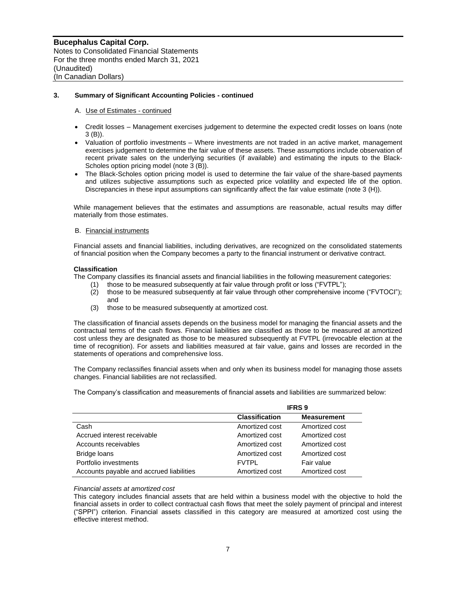# A. Use of Estimates - continued

- Credit losses Management exercises judgement to determine the expected credit losses on loans (note 3 (B)).
- Valuation of portfolio investments Where investments are not traded in an active market, management exercises judgement to determine the fair value of these assets. These assumptions include observation of recent private sales on the underlying securities (if available) and estimating the inputs to the Black-Scholes option pricing model (note 3 (B)).
- The Black-Scholes option pricing model is used to determine the fair value of the share-based payments and utilizes subjective assumptions such as expected price volatility and expected life of the option. Discrepancies in these input assumptions can significantly affect the fair value estimate (note 3 (H)).

While management believes that the estimates and assumptions are reasonable, actual results may differ materially from those estimates.

#### B. Financial instruments

Financial assets and financial liabilities, including derivatives, are recognized on the consolidated statements of financial position when the Company becomes a party to the financial instrument or derivative contract.

#### **Classification**

The Company classifies its financial assets and financial liabilities in the following measurement categories:

- (1) those to be measured subsequently at fair value through profit or loss ("FVTPL");
- (2) those to be measured subsequently at fair value through other comprehensive income ("FVTOCI"); and
- (3) those to be measured subsequently at amortized cost.

The classification of financial assets depends on the business model for managing the financial assets and the contractual terms of the cash flows. Financial liabilities are classified as those to be measured at amortized cost unless they are designated as those to be measured subsequently at FVTPL (irrevocable election at the time of recognition). For assets and liabilities measured at fair value, gains and losses are recorded in the statements of operations and comprehensive loss.

The Company reclassifies financial assets when and only when its business model for managing those assets changes. Financial liabilities are not reclassified.

The Company's classification and measurements of financial assets and liabilities are summarized below:

|                                          | <b>IFRS 9</b>         |                    |  |  |  |
|------------------------------------------|-----------------------|--------------------|--|--|--|
|                                          | <b>Classification</b> | <b>Measurement</b> |  |  |  |
| Cash                                     | Amortized cost        | Amortized cost     |  |  |  |
| Accrued interest receivable              | Amortized cost        | Amortized cost     |  |  |  |
| Accounts receivables                     | Amortized cost        | Amortized cost     |  |  |  |
| Bridge loans                             | Amortized cost        | Amortized cost     |  |  |  |
| Portfolio investments                    | <b>FVTPL</b>          | Fair value         |  |  |  |
| Accounts payable and accrued liabilities | Amortized cost        | Amortized cost     |  |  |  |

#### *Financial assets at amortized cost*

This category includes financial assets that are held within a business model with the objective to hold the financial assets in order to collect contractual cash flows that meet the solely payment of principal and interest ("SPPI") criterion. Financial assets classified in this category are measured at amortized cost using the effective interest method.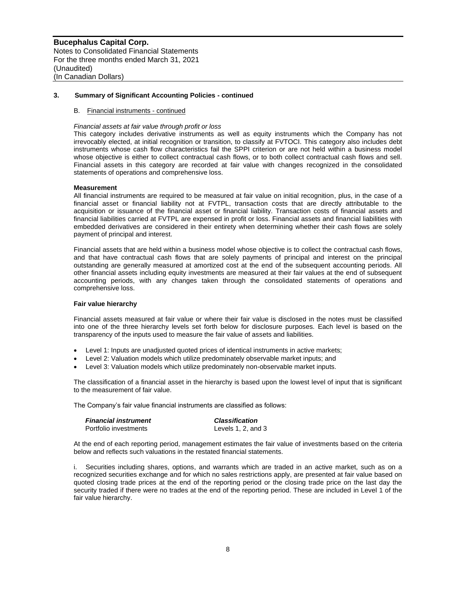# B. Financial instruments - continued

# *Financial assets at fair value through profit or loss*

This category includes derivative instruments as well as equity instruments which the Company has not irrevocably elected, at initial recognition or transition, to classify at FVTOCI. This category also includes debt instruments whose cash flow characteristics fail the SPPI criterion or are not held within a business model whose objective is either to collect contractual cash flows, or to both collect contractual cash flows and sell. Financial assets in this category are recorded at fair value with changes recognized in the consolidated statements of operations and comprehensive loss.

# **Measurement**

All financial instruments are required to be measured at fair value on initial recognition, plus, in the case of a financial asset or financial liability not at FVTPL, transaction costs that are directly attributable to the acquisition or issuance of the financial asset or financial liability. Transaction costs of financial assets and financial liabilities carried at FVTPL are expensed in profit or loss. Financial assets and financial liabilities with embedded derivatives are considered in their entirety when determining whether their cash flows are solely payment of principal and interest.

Financial assets that are held within a business model whose objective is to collect the contractual cash flows, and that have contractual cash flows that are solely payments of principal and interest on the principal outstanding are generally measured at amortized cost at the end of the subsequent accounting periods. All other financial assets including equity investments are measured at their fair values at the end of subsequent accounting periods, with any changes taken through the consolidated statements of operations and comprehensive loss.

# **Fair value hierarchy**

Financial assets measured at fair value or where their fair value is disclosed in the notes must be classified into one of the three hierarchy levels set forth below for disclosure purposes. Each level is based on the transparency of the inputs used to measure the fair value of assets and liabilities.

- Level 1: Inputs are unadjusted quoted prices of identical instruments in active markets;
- Level 2: Valuation models which utilize predominately observable market inputs; and
- Level 3: Valuation models which utilize predominately non-observable market inputs.

The classification of a financial asset in the hierarchy is based upon the lowest level of input that is significant to the measurement of fair value.

The Company's fair value financial instruments are classified as follows:

| <b>Financial instrument</b> | <b>Classification</b>   |
|-----------------------------|-------------------------|
| Portfolio investments       | Levels $1, 2$ , and $3$ |

At the end of each reporting period, management estimates the fair value of investments based on the criteria below and reflects such valuations in the restated financial statements.

i. Securities including shares, options, and warrants which are traded in an active market, such as on a recognized securities exchange and for which no sales restrictions apply, are presented at fair value based on quoted closing trade prices at the end of the reporting period or the closing trade price on the last day the security traded if there were no trades at the end of the reporting period. These are included in Level 1 of the fair value hierarchy.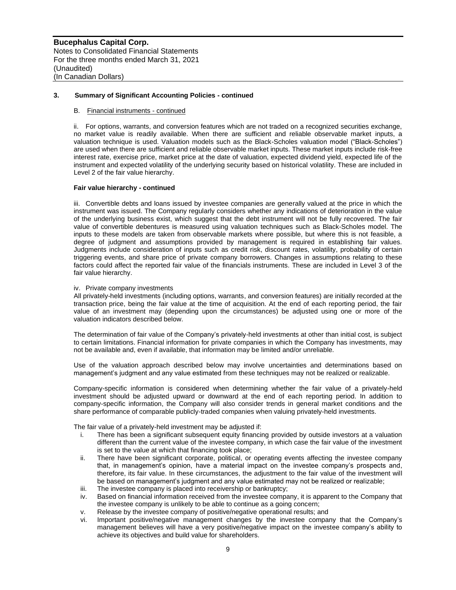# B. Financial instruments - continued

ii. For options, warrants, and conversion features which are not traded on a recognized securities exchange, no market value is readily available. When there are sufficient and reliable observable market inputs, a valuation technique is used. Valuation models such as the Black-Scholes valuation model ("Black-Scholes") are used when there are sufficient and reliable observable market inputs. These market inputs include risk-free interest rate, exercise price, market price at the date of valuation, expected dividend yield, expected life of the instrument and expected volatility of the underlying security based on historical volatility. These are included in Level 2 of the fair value hierarchy.

# **Fair value hierarchy - continued**

iii. Convertible debts and loans issued by investee companies are generally valued at the price in which the instrument was issued. The Company regularly considers whether any indications of deterioration in the value of the underlying business exist, which suggest that the debt instrument will not be fully recovered. The fair value of convertible debentures is measured using valuation techniques such as Black-Scholes model. The inputs to these models are taken from observable markets where possible, but where this is not feasible, a degree of judgment and assumptions provided by management is required in establishing fair values. Judgments include consideration of inputs such as credit risk, discount rates, volatility, probability of certain triggering events, and share price of private company borrowers. Changes in assumptions relating to these factors could affect the reported fair value of the financials instruments. These are included in Level 3 of the fair value hierarchy.

# iv. Private company investments

All privately-held investments (including options, warrants, and conversion features) are initially recorded at the transaction price, being the fair value at the time of acquisition. At the end of each reporting period, the fair value of an investment may (depending upon the circumstances) be adjusted using one or more of the valuation indicators described below.

The determination of fair value of the Company's privately-held investments at other than initial cost, is subject to certain limitations. Financial information for private companies in which the Company has investments, may not be available and, even if available, that information may be limited and/or unreliable.

Use of the valuation approach described below may involve uncertainties and determinations based on management's judgment and any value estimated from these techniques may not be realized or realizable.

Company-specific information is considered when determining whether the fair value of a privately-held investment should be adjusted upward or downward at the end of each reporting period. In addition to company-specific information, the Company will also consider trends in general market conditions and the share performance of comparable publicly-traded companies when valuing privately-held investments.

The fair value of a privately-held investment may be adjusted if:

- i. There has been a significant subsequent equity financing provided by outside investors at a valuation different than the current value of the investee company, in which case the fair value of the investment is set to the value at which that financing took place;
- ii. There have been significant corporate, political, or operating events affecting the investee company that, in management's opinion, have a material impact on the investee company's prospects and, therefore, its fair value. In these circumstances, the adjustment to the fair value of the investment will be based on management's judgment and any value estimated may not be realized or realizable;
- iii. The investee company is placed into receivership or bankruptcy;
- iv. Based on financial information received from the investee company, it is apparent to the Company that the investee company is unlikely to be able to continue as a going concern;
- v. Release by the investee company of positive/negative operational results; and
- vi. Important positive/negative management changes by the investee company that the Company's management believes will have a very positive/negative impact on the investee company's ability to achieve its objectives and build value for shareholders.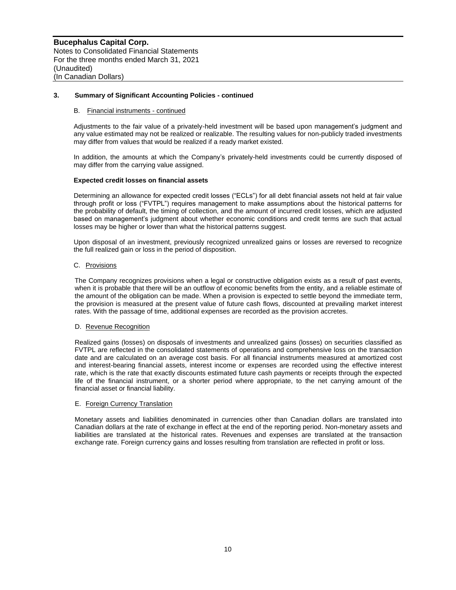# B. Financial instruments - continued

Adjustments to the fair value of a privately-held investment will be based upon management's judgment and any value estimated may not be realized or realizable. The resulting values for non-publicly traded investments may differ from values that would be realized if a ready market existed.

In addition, the amounts at which the Company's privately-held investments could be currently disposed of may differ from the carrying value assigned.

# **Expected credit losses on financial assets**

Determining an allowance for expected credit losses ("ECLs") for all debt financial assets not held at fair value through profit or loss ("FVTPL") requires management to make assumptions about the historical patterns for the probability of default, the timing of collection, and the amount of incurred credit losses, which are adjusted based on management's judgment about whether economic conditions and credit terms are such that actual losses may be higher or lower than what the historical patterns suggest.

Upon disposal of an investment, previously recognized unrealized gains or losses are reversed to recognize the full realized gain or loss in the period of disposition.

# C. Provisions

The Company recognizes provisions when a legal or constructive obligation exists as a result of past events, when it is probable that there will be an outflow of economic benefits from the entity, and a reliable estimate of the amount of the obligation can be made. When a provision is expected to settle beyond the immediate term, the provision is measured at the present value of future cash flows, discounted at prevailing market interest rates. With the passage of time, additional expenses are recorded as the provision accretes.

# D. Revenue Recognition

Realized gains (losses) on disposals of investments and unrealized gains (losses) on securities classified as FVTPL are reflected in the consolidated statements of operations and comprehensive loss on the transaction date and are calculated on an average cost basis. For all financial instruments measured at amortized cost and interest-bearing financial assets, interest income or expenses are recorded using the effective interest rate, which is the rate that exactly discounts estimated future cash payments or receipts through the expected life of the financial instrument, or a shorter period where appropriate, to the net carrying amount of the financial asset or financial liability.

# E. Foreign Currency Translation

Monetary assets and liabilities denominated in currencies other than Canadian dollars are translated into Canadian dollars at the rate of exchange in effect at the end of the reporting period. Non-monetary assets and liabilities are translated at the historical rates. Revenues and expenses are translated at the transaction exchange rate. Foreign currency gains and losses resulting from translation are reflected in profit or loss.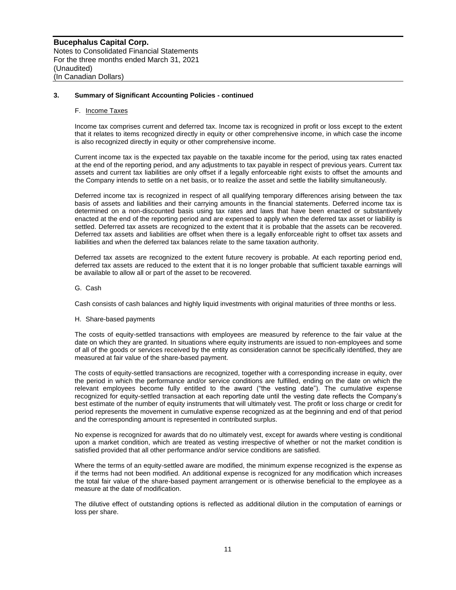# F. Income Taxes

Income tax comprises current and deferred tax. Income tax is recognized in profit or loss except to the extent that it relates to items recognized directly in equity or other comprehensive income, in which case the income is also recognized directly in equity or other comprehensive income.

Current income tax is the expected tax payable on the taxable income for the period, using tax rates enacted at the end of the reporting period, and any adjustments to tax payable in respect of previous years. Current tax assets and current tax liabilities are only offset if a legally enforceable right exists to offset the amounts and the Company intends to settle on a net basis, or to realize the asset and settle the liability simultaneously.

Deferred income tax is recognized in respect of all qualifying temporary differences arising between the tax basis of assets and liabilities and their carrying amounts in the financial statements. Deferred income tax is determined on a non-discounted basis using tax rates and laws that have been enacted or substantively enacted at the end of the reporting period and are expensed to apply when the deferred tax asset or liability is settled. Deferred tax assets are recognized to the extent that it is probable that the assets can be recovered. Deferred tax assets and liabilities are offset when there is a legally enforceable right to offset tax assets and liabilities and when the deferred tax balances relate to the same taxation authority.

Deferred tax assets are recognized to the extent future recovery is probable. At each reporting period end, deferred tax assets are reduced to the extent that it is no longer probable that sufficient taxable earnings will be available to allow all or part of the asset to be recovered.

# G. Cash

Cash consists of cash balances and highly liquid investments with original maturities of three months or less.

#### H. Share-based payments

The costs of equity-settled transactions with employees are measured by reference to the fair value at the date on which they are granted. In situations where equity instruments are issued to non-employees and some of all of the goods or services received by the entity as consideration cannot be specifically identified, they are measured at fair value of the share-based payment.

The costs of equity-settled transactions are recognized, together with a corresponding increase in equity, over the period in which the performance and/or service conditions are fulfilled, ending on the date on which the relevant employees become fully entitled to the award ("the vesting date"). The cumulative expense recognized for equity-settled transaction at each reporting date until the vesting date reflects the Company's best estimate of the number of equity instruments that will ultimately vest. The profit or loss charge or credit for period represents the movement in cumulative expense recognized as at the beginning and end of that period and the corresponding amount is represented in contributed surplus.

No expense is recognized for awards that do no ultimately vest, except for awards where vesting is conditional upon a market condition, which are treated as vesting irrespective of whether or not the market condition is satisfied provided that all other performance and/or service conditions are satisfied.

Where the terms of an equity-settled aware are modified, the minimum expense recognized is the expense as if the terms had not been modified. An additional expense is recognized for any modification which increases the total fair value of the share-based payment arrangement or is otherwise beneficial to the employee as a measure at the date of modification.

The dilutive effect of outstanding options is reflected as additional dilution in the computation of earnings or loss per share.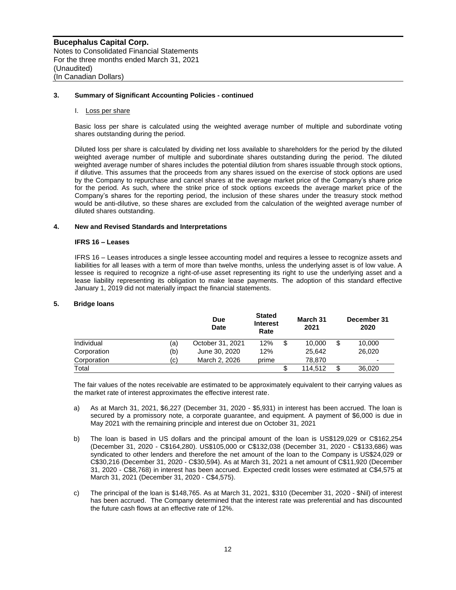#### I. Loss per share

Basic loss per share is calculated using the weighted average number of multiple and subordinate voting shares outstanding during the period.

Diluted loss per share is calculated by dividing net loss available to shareholders for the period by the diluted weighted average number of multiple and subordinate shares outstanding during the period. The diluted weighted average number of shares includes the potential dilution from shares issuable through stock options, if dilutive. This assumes that the proceeds from any shares issued on the exercise of stock options are used by the Company to repurchase and cancel shares at the average market price of the Company's share price for the period. As such, where the strike price of stock options exceeds the average market price of the Company's shares for the reporting period, the inclusion of these shares under the treasury stock method would be anti-dilutive, so these shares are excluded from the calculation of the weighted average number of diluted shares outstanding.

# **4. New and Revised Standards and Interpretations**

# **IFRS 16 – Leases**

IFRS 16 – Leases introduces a single lessee accounting model and requires a lessee to recognize assets and liabilities for all leases with a term of more than twelve months, unless the underlying asset is of low value. A lessee is required to recognize a right-of-use asset representing its right to use the underlying asset and a lease liability representing its obligation to make lease payments. The adoption of this standard effective January 1, 2019 did not materially impact the financial statements.

# **5. Bridge loans**

|             |     | <b>Due</b><br><b>Date</b> | <b>Stated</b><br><b>Interest</b><br>Rate | March 31<br>2021 | December 31<br>2020 |
|-------------|-----|---------------------------|------------------------------------------|------------------|---------------------|
| Individual  | (a) | October 31, 2021          | 12%                                      | \$<br>10.000     | \$<br>10.000        |
| Corporation | (b) | June 30, 2020             | 12%                                      | 25.642           | 26,020              |
| Corporation | (c) | March 2, 2026             | prime                                    | 78.870           |                     |
| Total       |     |                           |                                          | 114.512          | 36,020              |

The fair values of the notes receivable are estimated to be approximately equivalent to their carrying values as the market rate of interest approximates the effective interest rate.

- a) As at March 31, 2021, \$6,227 (December 31, 2020 \$5,931) in interest has been accrued. The loan is secured by a promissory note, a corporate quarantee, and equipment. A payment of \$6,000 is due in May 2021 with the remaining principle and interest due on October 31, 2021
- b) The loan is based in US dollars and the principal amount of the loan is US\$129,029 or C\$162,254 (December 31, 2020 - C\$164,280). US\$105,000 or C\$132,038 (December 31, 2020 - C\$133,686) was syndicated to other lenders and therefore the net amount of the loan to the Company is US\$24,029 or C\$30,216 (December 31, 2020 - C\$30,594). As at March 31, 2021 a net amount of C\$11,920 (December 31, 2020 - C\$8,768) in interest has been accrued. Expected credit losses were estimated at C\$4,575 at March 31, 2021 (December 31, 2020 - C\$4,575).
- c) The principal of the loan is \$148,765. As at March 31, 2021, \$310 (December 31, 2020 \$Nil) of interest has been accrued. The Company determined that the interest rate was preferential and has discounted the future cash flows at an effective rate of 12%.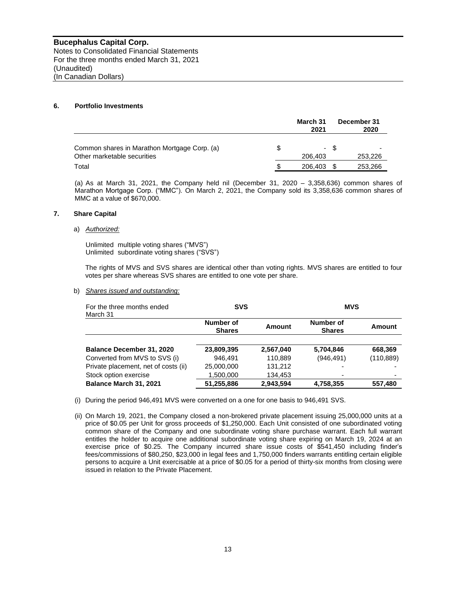# **6. Portfolio Investments**

|                                              |   | March 31 |      | December 31              |
|----------------------------------------------|---|----------|------|--------------------------|
|                                              |   | 2021     |      | 2020                     |
| Common shares in Marathon Mortgage Corp. (a) | S |          | - \$ | $\overline{\phantom{0}}$ |
| Other marketable securities                  |   | 206.403  |      | 253,226                  |
| Total                                        | S | 206,403  |      | 253,266                  |

(a) As at March 31, 2021, the Company held nil (December 31, 2020 – 3,358,636) common shares of Marathon Mortgage Corp. ("MMC"). On March 2, 2021, the Company sold its 3,358,636 common shares of MMC at a value of \$670,000.

# **7. Share Capital**

# a) *Authorized:*

 Unlimited multiple voting shares ("MVS") Unlimited subordinate voting shares ("SVS")

The rights of MVS and SVS shares are identical other than voting rights. MVS shares are entitled to four votes per share whereas SVS shares are entitled to one vote per share.

# b) *Shares issued and outstanding:*

| For the three months ended<br>March 31 | <b>SVS</b>                 |           | <b>MVS</b>                 |            |
|----------------------------------------|----------------------------|-----------|----------------------------|------------|
|                                        | Number of<br><b>Shares</b> | Amount    | Number of<br><b>Shares</b> | Amount     |
|                                        |                            |           |                            |            |
| <b>Balance December 31, 2020</b>       | 23,809,395                 | 2,567,040 | 5,704,846                  | 668,369    |
| Converted from MVS to SVS (i)          | 946.491                    | 110,889   | (946, 491)                 | (110, 889) |
| Private placement, net of costs (ii)   | 25,000,000                 | 131,212   |                            |            |
| Stock option exercise                  | 1,500,000                  | 134,453   |                            |            |
| Balance March 31, 2021                 | 51,255,886                 | 2,943,594 | 4,758,355                  | 557.480    |

(i) During the period 946,491 MVS were converted on a one for one basis to 946,491 SVS.

(ii) On March 19, 2021, the Company closed a non-brokered private placement issuing 25,000,000 units at a price of \$0.05 per Unit for gross proceeds of \$1,250,000. Each Unit consisted of one subordinated voting common share of the Company and one subordinate voting share purchase warrant. Each full warrant entitles the holder to acquire one additional subordinate voting share expiring on March 19, 2024 at an exercise price of \$0.25. The Company incurred share issue costs of \$541,450 including finder's fees/commissions of \$80,250, \$23,000 in legal fees and 1,750,000 finders warrants entitling certain eligible persons to acquire a Unit exercisable at a price of \$0.05 for a period of thirty-six months from closing were issued in relation to the Private Placement.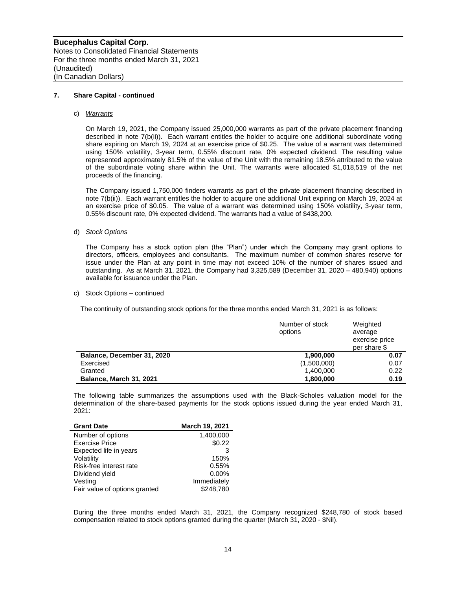# **7. Share Capital - continued**

c) *Warrants*

On March 19, 2021, the Company issued 25,000,000 warrants as part of the private placement financing described in note 7(b(ii)). Each warrant entitles the holder to acquire one additional subordinate voting share expiring on March 19, 2024 at an exercise price of \$0.25. The value of a warrant was determined using 150% volatility, 3-year term, 0.55% discount rate, 0% expected dividend. The resulting value represented approximately 81.5% of the value of the Unit with the remaining 18.5% attributed to the value of the subordinate voting share within the Unit. The warrants were allocated \$1,018,519 of the net proceeds of the financing.

The Company issued 1,750,000 finders warrants as part of the private placement financing described in note 7(b(ii)). Each warrant entitles the holder to acquire one additional Unit expiring on March 19, 2024 at an exercise price of \$0.05. The value of a warrant was determined using 150% volatility, 3-year term, 0.55% discount rate, 0% expected dividend. The warrants had a value of \$438,200.

# d) *Stock Options*

The Company has a stock option plan (the "Plan") under which the Company may grant options to directors, officers, employees and consultants. The maximum number of common shares reserve for issue under the Plan at any point in time may not exceed 10% of the number of shares issued and outstanding. As at March 31, 2021, the Company had 3,325,589 (December 31, 2020 – 480,940) options available for issuance under the Plan.

# c) Stock Options – continued

The continuity of outstanding stock options for the three months ended March 31, 2021 is as follows:

|                            | Number of stock<br>options | Weighted<br>average<br>exercise price<br>per share \$ |
|----------------------------|----------------------------|-------------------------------------------------------|
| Balance, December 31, 2020 | 1,900,000                  | 0.07                                                  |
| Exercised                  | (1,500,000)                | 0.07                                                  |
| Granted                    | 1,400,000                  | 0.22                                                  |
| Balance, March 31, 2021    | 1,800,000                  | 0.19                                                  |

The following table summarizes the assumptions used with the Black-Scholes valuation model for the determination of the share-based payments for the stock options issued during the year ended March 31, 2021:

| <b>Grant Date</b>             | March 19, 2021 |
|-------------------------------|----------------|
| Number of options             | 1,400,000      |
| <b>Exercise Price</b>         | \$0.22         |
| Expected life in years        | 3              |
| Volatility                    | 150%           |
| Risk-free interest rate       | 0.55%          |
| Dividend yield                | $0.00\%$       |
| Vesting                       | Immediately    |
| Fair value of options granted | \$248,780      |

During the three months ended March 31, 2021, the Company recognized \$248,780 of stock based compensation related to stock options granted during the quarter (March 31, 2020 - \$Nil).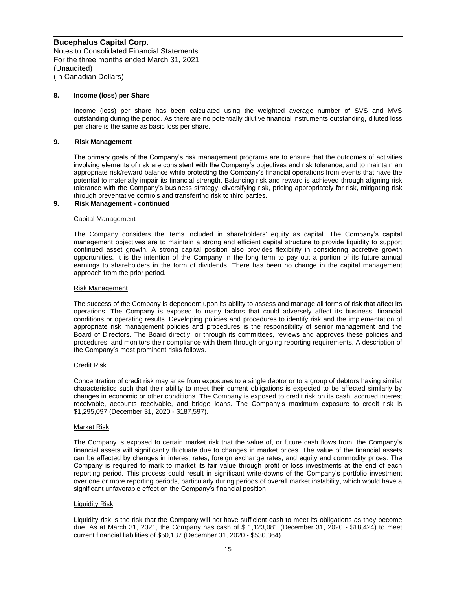Notes to Consolidated Financial Statements For the three months ended March 31, 2021 (Unaudited) (In Canadian Dollars)

# **8. Income (loss) per Share**

Income (loss) per share has been calculated using the weighted average number of SVS and MVS outstanding during the period. As there are no potentially dilutive financial instruments outstanding, diluted loss per share is the same as basic loss per share.

# **9. Risk Management**

The primary goals of the Company's risk management programs are to ensure that the outcomes of activities involving elements of risk are consistent with the Company's objectives and risk tolerance, and to maintain an appropriate risk/reward balance while protecting the Company's financial operations from events that have the potential to materially impair its financial strength. Balancing risk and reward is achieved through aligning risk tolerance with the Company's business strategy, diversifying risk, pricing appropriately for risk, mitigating risk through preventative controls and transferring risk to third parties.

# **9. Risk Management - continued**

# Capital Management

The Company considers the items included in shareholders' equity as capital. The Company's capital management objectives are to maintain a strong and efficient capital structure to provide liquidity to support continued asset growth. A strong capital position also provides flexibility in considering accretive growth opportunities. It is the intention of the Company in the long term to pay out a portion of its future annual earnings to shareholders in the form of dividends. There has been no change in the capital management approach from the prior period.

# Risk Management

The success of the Company is dependent upon its ability to assess and manage all forms of risk that affect its operations. The Company is exposed to many factors that could adversely affect its business, financial conditions or operating results. Developing policies and procedures to identify risk and the implementation of appropriate risk management policies and procedures is the responsibility of senior management and the Board of Directors. The Board directly, or through its committees, reviews and approves these policies and procedures, and monitors their compliance with them through ongoing reporting requirements. A description of the Company's most prominent risks follows.

# Credit Risk

Concentration of credit risk may arise from exposures to a single debtor or to a group of debtors having similar characteristics such that their ability to meet their current obligations is expected to be affected similarly by changes in economic or other conditions. The Company is exposed to credit risk on its cash, accrued interest receivable, accounts receivable, and bridge loans. The Company's maximum exposure to credit risk is \$1,295,097 (December 31, 2020 - \$187,597).

# Market Risk

The Company is exposed to certain market risk that the value of, or future cash flows from, the Company's financial assets will significantly fluctuate due to changes in market prices. The value of the financial assets can be affected by changes in interest rates, foreign exchange rates, and equity and commodity prices. The Company is required to mark to market its fair value through profit or loss investments at the end of each reporting period. This process could result in significant write-downs of the Company's portfolio investment over one or more reporting periods, particularly during periods of overall market instability, which would have a significant unfavorable effect on the Company's financial position.

# Liquidity Risk

Liquidity risk is the risk that the Company will not have sufficient cash to meet its obligations as they become due. As at March 31, 2021, the Company has cash of \$ 1,123,081 (December 31, 2020 - \$18,424) to meet current financial liabilities of \$50,137 (December 31, 2020 - \$530,364).